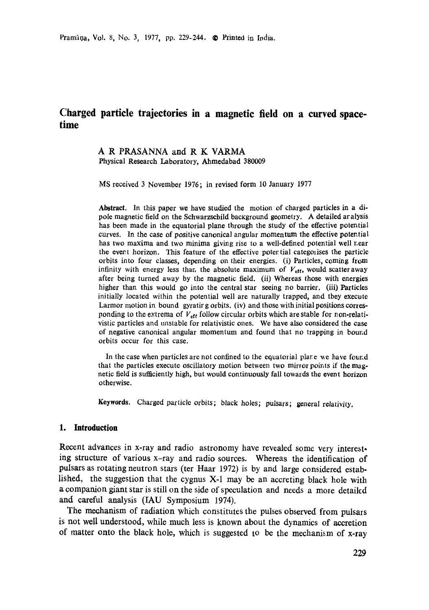# **Charged particle trajectories in a magnetic field on a curved spacetime**

### **A R** PRASANNA and **R K VARMA**  Physical Research Laboratory, Ahmedabad 380009

MS received 3 November 1976; in revised form 10 January 1977

**Abstract.** In this paper we have studied the motion of charged particles in a dipole magnetic field on the Schwarzscbild background geometry. A detailed aralysis has been made in the equatorial plane through the study of the effective potential curves. In the case of positive canonical angular momentum the effective potential has two maxima and two minima giving rise to a well-defined potential well r.ear the event horizon. This feature of the effective potential categorises the particle orbits into four classes, depending on their energies. (i) Particles, coming from infinity with energy less than the absolute maximum of  $V_{\text{eff}}$ , would scatter away after being turned away by the magnetic field. (ii) Whereas those with energies higher than this would go into the central star seeing no barrier. (iii) Particles initially located within the potential well are naturally trapped, and tbey execute Larmor motion in bound gyratir g orbits. (iv) and those with initial positions corresponding to the extrema of  $V_{\text{eff}}$  follow circular orbits which are stable for non-relativistic particles and unstable for relativistic ones. We have also considered the case of negative canonical angular momentum and found that no trapping in bound orbits occur for this case.

In the case when particles are not confined to the equatorial plate we have found that the particles execute oscillatory motion between two mirror points if the magnetic field is sufficiently high, but would continuously fall towards the event horizon otherwise.

Keywords. Charged particle orbits; black holes; pulsars; general relativity.

### **1. Introduction**

Recent advances in x-ray and radio astronomy have revealed some very interesting structure of various x-ray and radio sources. Whereas the identification of pulsars as rotating neutron stars (ter Haar 1972) is by and large considered established, the suggestion that the cygnus X-1 may be an accreting black hole with a companion giant star is still on the side of speculation and needs a mote detaikd and careful analysis (IAU Symposium 1974).

The mechanism of radiation which constitutes the pulses observed from pulsars is not well understood, while much less is known about the dynamics of accretion of matter onto the black hole, which is suggested to be the mechanism of x-ray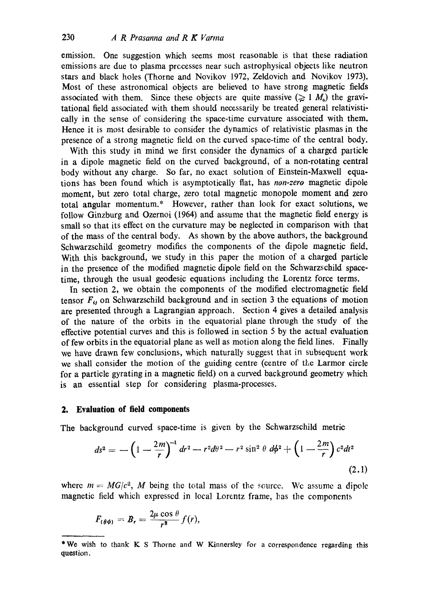emission. One suggestion which seems most reasonable is that these radiation emissions are due to plasma prccesses near such astrophysical objects like neutron stars and black holes (Theme and Novikov 1972, Zeldovich and Novikov 1973). Most of these astronomical objects are believed to have strong magnetic fields associated with them. Since these objects are quite massive  $(\geq 1 \, M_*)$  the gravitational field associated with them should necessarily be treated general relativistically in the sense of considering the space-time curvature associated with them. Hence it is most desirable to consider the dynamics of relativistic plasmas in the presence of a strong magnetic field on the curved space-time of the central body.

With this study in mind we first consider the dynamics of a charged particle in a dipole magnetic field on the curved background, of a non-rotating central body without any charge. So far, no exact solution of Einstein-Maxwell equations has been found which is asymptotically fiat, has *non-zero* magnetic dipole moment, but zero total charge, zero total magnetic monopole moment and zero total angular momentum.\* However, rather than look for exact solutions, we follow Ginzburg and Ozernoi (1964) and assume that the magnetic field energy is small so that its effect on the curvature may be neglected in comparison with that of the mass of the central body. As shown by the above authors, the background Schwarzschild geometry modifies the components of the dipole magnetic field. With this background, we study in this paper the motion of a charged particle in the presence of the modified magnetic dipole field on the Schwarzschild spacetime, through the usual geodesic equations including the Lorentz force terms.

In section 2, we obtain the components of the modified electromagnetic field tensor  $F_{ij}$  on Schwarzschild background and in section 3 the equations of motion are presented through a Lagrangian approach. Section 4 gives a detailed analysis of the nature of the orbits in the equatorial plane through the study of the effective potential curves and this is followed in section 5 by the actual evaluation of few orbits in the equatorial plane as well as motion along the field lines. Finally we have drawn few conclusions, which naturally suggest that in subsequent work we shall consider the motion of the guiding centre (centre of the Larmor circle for a particle gyrating in a magnetic field) on a curved background geometry which is an essential step for considering plasma-processes.

### **2. Evaluation of field components**

The background curved space-time is given by the Schwarzschild metric

$$
ds^{2} = -\left(1 - \frac{2m}{r}\right)^{-1} dr^{2} - r^{2} d\theta^{2} - r^{2} \sin^{2} \theta d\phi^{2} + \left(1 - \frac{2m}{r}\right) c^{2} dt^{2}
$$
\n(2.1)

where  $m = MG/c^2$ , M being the total mass of the source. We assume a dipole magnetic field which expressed in local Lorentz frame, has the components

$$
F_{(\theta\phi)}=B_r=\frac{2\mu\cos\theta}{r^3}f(r),
$$

<sup>\*</sup>We wish to thank K S Thorne and W Kinnersley for a correspondence regarding this **question,**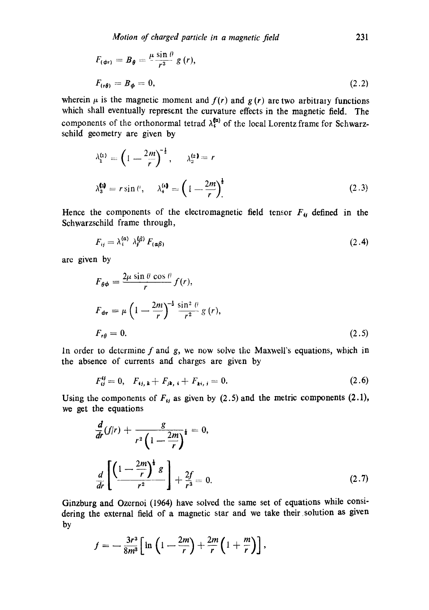$$
F_{(\phi r)} = B_{\theta} = \frac{\mu \sin \theta}{r^3} g(r),
$$
  

$$
F_{(r\theta)} = B_{\phi} = 0,
$$
 (2.2)

wherein  $\mu$  is the magnetic moment and  $f(r)$  and  $g(r)$  are two arbitrary functions which shall eventually represent the curvature effects in the magnetic field. The components of the orthonormal tetrad  $\lambda_i^{(a)}$  of the local Lorentz frame for Schwarzsehild geometry are given by

$$
\lambda_1^{(1)} = \left(1 - \frac{2m}{r}\right)^{-\frac{1}{2}}, \qquad \lambda_2^{(2)} = r
$$
  

$$
\lambda_3^{(3)} = r \sin \theta, \qquad \lambda_4^{(4)} = \left(1 - \frac{2m}{r}\right)^{\frac{1}{2}}
$$
 (2.3)

Hence the components of the electromagnetic field tensor  $F_{ij}$  defined in the Schwarzschild frame through,

$$
F_{ij} = \lambda_i^{(\alpha)} \lambda_j^{(\beta)} F_{(\alpha\beta)}
$$
 (2.4)

are given by

$$
F_{\theta\phi} = \frac{2\mu \sin \theta \cos \theta}{r} f(r),
$$
  
\n
$$
F_{\phi r} = \mu \left(1 - \frac{2m}{r}\right)^{-\frac{1}{2}} \frac{\sin^2 \theta}{r^2} g(r),
$$
  
\n
$$
F_{r\theta} = 0.
$$
\n(2.5)

In order to determine  $f$  and  $g$ , we now solve the Maxwell's equations, which in the absence of currents and charges are given by

$$
F_{ij}^{\mathcal{Y}} = 0, \quad F_{ij, k} + F_{jk, i} + F_{ki, j} = 0. \tag{2.6}
$$

Using the components of  $F_{ij}$  as given by (2.5) and the metric components (2.1), we get the equations

$$
\frac{d}{dr}(f/r) + \frac{g}{r^2 \left(1 - \frac{2m}{r}\right)^{\frac{1}{2}}} = 0,
$$
\n
$$
\frac{d}{dr}\left[\frac{\left(1 - \frac{2m}{r}\right)^{\frac{1}{2}}g}{r^2}\right] + \frac{2f}{r^3} = 0.
$$
\n(2.7)

Ginzburg and Ozernoi (1964) have solved the same set of equations while considering the external field of a magnetic star and we take their solution as given by

$$
f=-\frac{3r^3}{8m^3}\left[\ln\left(1-\frac{2m}{r}\right)+\frac{2m}{r}\left(1+\frac{m}{r}\right)\right],
$$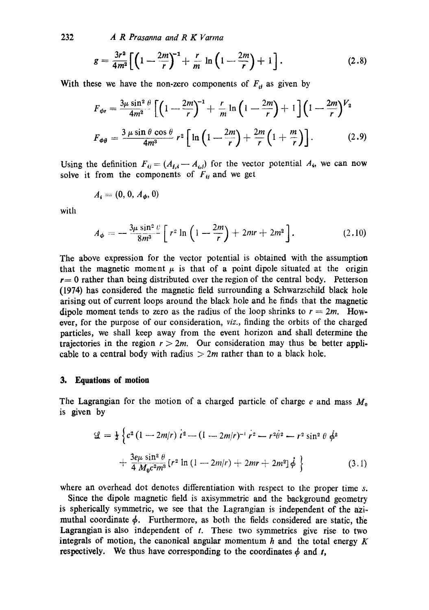232 *A R Prasanna and R K Varma* 

$$
g = \frac{3r^2}{4m^2} \left[ \left( 1 - \frac{2m}{r} \right)^{-1} + \frac{r}{m} \ln \left( 1 - \frac{2m}{r} \right) + 1 \right].
$$
 (2.8)

With these we have the non-zero components of  $F_{ij}$  as given by

$$
F_{\phi r} = \frac{3\mu \sin^2 \theta}{4m^2} \left[ \left( 1 - \frac{2m}{r} \right)^{-1} + \frac{r}{m} \ln \left( 1 - \frac{2m}{r} \right) + 1 \right] \left( 1 - \frac{2m}{r} \right)^{V_2}
$$

$$
F_{\phi \theta} = \frac{3\mu \sin \theta \cos \theta}{4m^3} r^2 \left[ \ln \left( 1 - \frac{2m}{r} \right) + \frac{2m}{r} \left( 1 + \frac{m}{r} \right) \right]. \tag{2.9}
$$

Using the definition  $F_{ij} = (A_{j,i} - A_{ij})$  for the vector potential  $A_{i}$ , we can now solve it from the components of  $F_{ij}$  and we get

$$
A_i=(0,0,A_{\phi},0)
$$

with

$$
A_{\phi} = -\frac{3\mu \sin^2 \theta}{8m^3} \left[ r^2 \ln \left( 1 - \frac{2m}{r} \right) + 2mr + 2m^2 \right]. \tag{2.10}
$$

The above expression for the vector potential is obtained with the assumption that the magnetic moment  $\mu$  is that of a point dipole situated at the origin  $r=0$  rather than being distributed over the region of the central body. Petterson (1974) has considered the magnetic field surrounding a Schwarzschild black hole arising out of current loops around the black hole and he finds that the magnetic dipole moment tends to zero as the radius of the loop shrinks to  $r = 2m$ . However, for the purpose of our consideration, *viz.,* finding the orbits of the charged particles, we shall keep away from the event horizon and shall determine the trajectories in the region  $r > 2m$ . Our consideration may thus be better applicable to a central body with radius  $> 2m$  rather than to a black hole.

#### **3. Equations of motion**

The Lagrangian for the motion of a charged particle of charge  $e$  and mass  $M_0$ is given by

$$
\mathcal{L} = \frac{1}{2} \left\{ c^2 \left( 1 - 2m/r \right) i^2 - (1 - 2m/r)^{-1} r^2 - r^2 \dot{\theta}^2 - r^2 \sin^2 \theta \, \dot{\phi}^2 + \frac{3e\mu \sin^2 \theta}{4 M_0 c^2 m^3} \left[ r^2 \ln \left( 1 - 2m/r \right) + 2mr + 2m^2 \right] \dot{\phi} \right\} \tag{3.1}
$$

where an overhead dot denotes differentiation with respect to the proper time s.

Since the dipole magnetic field is axisymmetric and the background geometry is spherically symmetric, we see that the Lagrangian is independent of the azimuthal coordinate  $\phi$ . Furthermore, as both the fields considered are static, the Lagrangian is also independent of  $t$ . These two symmetries give rise to two integrals of motion, the canonical angular momentum  $h$  and the total energy  $K$ respectively. We thus have corresponding to the coordinates  $\phi$  and t,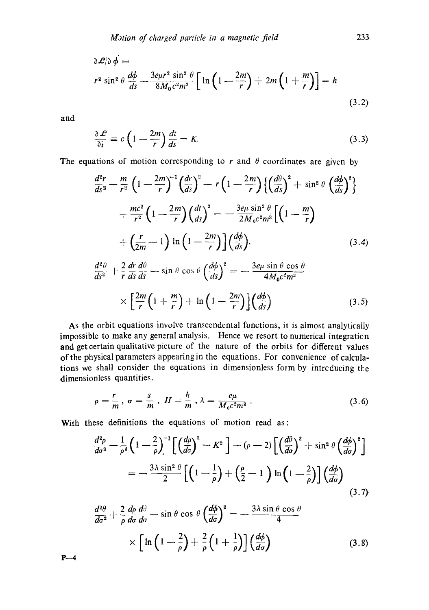$$
\partial \mathcal{L}/\partial \phi \equiv
$$
  

$$
r^2 \sin^2 \theta \frac{d\phi}{ds} - \frac{3e\mu r^2 \sin^2 \theta}{8M_0 c^2 m^3} \left[ \ln \left( 1 - \frac{2m}{r} \right) + 2m \left( 1 + \frac{m}{r} \right) \right] = h
$$
  
(3.2)

and

$$
\frac{\partial \mathcal{L}}{\partial i} = c \left( 1 - \frac{2m}{r} \right) \frac{dt}{ds} = K. \tag{3.3}
$$

The equations of motion corresponding to r and  $\theta$  coordinates are given by

$$
\frac{d^2r}{ds^2} - \frac{m}{r^2} \left( 1 - \frac{2m}{r} \right)^{-1} \left( \frac{dr}{ds} \right)^2 - r \left( 1 - \frac{2m}{r} \right) \left\{ \left( \frac{d\theta}{ds} \right)^2 + \sin^2 \theta \left( \frac{d\phi}{ds} \right)^2 \right\} \n+ \frac{mc^2}{r^2} \left( 1 - \frac{2m}{r} \right) \left( \frac{dt}{ds} \right)^2 = -\frac{3e\mu \sin^2 \theta}{2M_0c^2m^3} \left[ \left( 1 - \frac{m}{r} \right) \right. \n+ \left( \frac{r}{2m} - 1 \right) \ln \left( 1 - \frac{2m}{r} \right) \left( \frac{d\phi}{ds} \right).
$$
\n(3.4)\n
$$
\frac{d^2\theta}{ds^2} + \frac{2}{r} \frac{dr}{ds} \frac{d\theta}{ds} - \sin \theta \cos \theta \left( \frac{d\phi}{ds} \right)^2 = -\frac{3e\mu \sin \theta \cos \theta}{4M_0c^2m^3} \n\times \left[ \frac{2m}{r} \left( 1 + \frac{m}{r} \right) + \ln \left( 1 - \frac{2m}{r} \right) \left( \frac{d\phi}{ds} \right) \right].
$$
\n(3.5)

As the orbit equations involve transcendental functions, it is almost analytically impossible to make any general analysis. Hence we resort to numerical integration and get certain qualitative picture of the nature of the orbits for different values of the physical parameters appearing in the equations. For convenience of calculations we shall consider the equations in dimensionless form by introducing the dimensionless quantities.

$$
\rho = \frac{r}{m}, \sigma = \frac{s}{m}, H = \frac{h}{m}, \lambda = \frac{e\mu}{M_0 c^2 m^2}.
$$
\n(3.6)

With these definitions the equations of motion read as:

$$
\frac{d^2\rho}{d\sigma^2} - \frac{1}{\rho^2} \left( 1 - \frac{2}{\rho} \right)^{-1} \left[ \left( \frac{d\rho}{d\sigma} \right)^2 - K^2 \right] - (\rho - 2) \left[ \left( \frac{d\theta}{d\sigma} \right)^2 + \sin^2 \theta \left( \frac{d\phi}{d\sigma} \right)^2 \right]
$$

$$
= -\frac{3\lambda \sin^2 \theta}{2} \left[ \left( 1 - \frac{1}{\rho} \right) + \left( \frac{\rho}{2} - 1 \right) \ln \left( 1 - \frac{2}{\rho} \right) \right] \left( \frac{d\phi}{d\sigma} \right)
$$
(3.7)

$$
\frac{d^2\theta}{d\sigma^2} + \frac{2}{\rho} \frac{d\rho}{d\sigma} \frac{d\theta}{d\sigma} - \sin\theta \cos\theta \left(\frac{d\phi}{d\sigma}\right)^2 = -\frac{3\lambda \sin\theta \cos\theta}{4}
$$

$$
\times \left[ \ln\left(1 - \frac{2}{\rho}\right) + \frac{2}{\rho} \left(1 + \frac{1}{\rho}\right) \right] \left(\frac{d\phi}{d\sigma}\right) \tag{3.8}
$$

**P--4**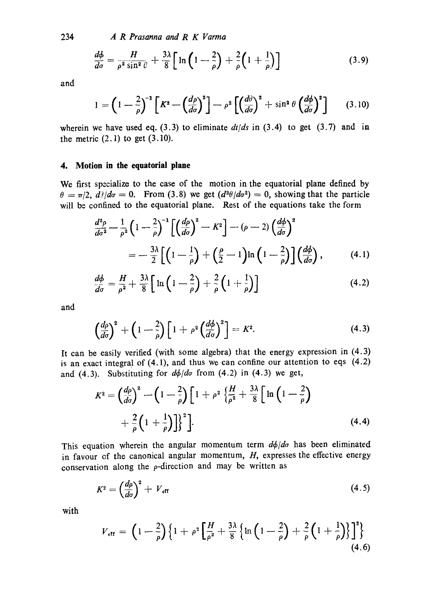234 *A R Prasanna and R K Varma* 

$$
\frac{d\phi}{d\sigma} = \frac{H}{\rho^2 \sin^2 \theta} + \frac{3\lambda}{8} \left[ \ln \left( 1 - \frac{2}{\rho} \right) + \frac{2}{\rho} \left( 1 + \frac{1}{\rho} \right) \right]
$$
(3.9)

and

$$
1 = \left(1 - \frac{2}{\rho}\right)^{-1} \left[K^2 - \left(\frac{d\rho}{d\sigma}\right)^2\right] - \rho^2 \left[\left(\frac{d\theta}{d\sigma}\right)^2 + \sin^2\theta \left(\frac{d\phi}{d\sigma}\right)^2\right] \tag{3.10}
$$

wherein we have used eq.  $(3.3)$  to eliminate  $dt/ds$  in  $(3.4)$  to get  $(3.7)$  and in the metric  $(2.1)$  to get  $(3.10)$ .

#### **4. Motion in the equatorial plane**

We first specialize to the case of the motion in the equatorial plane defined by  $\theta = \pi/2$ ,  $d/d\sigma = 0$ . From (3.8) we get  $(d^{2\theta}/d\sigma^{2}) = 0$ , showing that the particle will be confined to the equatorial plane. Rest of the equations take the form

$$
\frac{d^2\rho}{d\sigma^2} - \frac{1}{\rho^2} \left( 1 - \frac{2}{\rho} \right)^{-1} \left[ \left( \frac{d\rho}{d\sigma} \right)^2 - K^2 \right] - (\rho - 2) \left( \frac{d\phi}{d\sigma} \right)^2
$$

$$
= -\frac{3\lambda}{2} \left[ \left( 1 - \frac{1}{\rho} \right) + \left( \frac{\rho}{2} - 1 \right) \ln \left( 1 - \frac{2}{\rho} \right) \right] \left( \frac{d\phi}{d\sigma} \right), \tag{4.1}
$$

$$
\frac{d\phi}{d\sigma} = \frac{H}{\rho^2} + \frac{3\lambda}{8} \left[ \ln\left(1 - \frac{2}{\rho}\right) + \frac{2}{\rho} \left(1 + \frac{1}{\rho}\right) \right] \tag{4.2}
$$

and

$$
\left(\frac{d\rho}{d\sigma}\right)^{2} + \left(1 - \frac{2}{\rho}\right)\left[1 + \rho^{2}\left(\frac{d\phi}{d\sigma}\right)^{2}\right] = K^{2}.
$$
\n(4.3)

It can be easily verified (with some algebra) that the energy expression in (4.3) is an exact integral of  $(4.1)$ , and thus we can confine our attention to eqs  $(4.2)$ and (4.3). Substituting for  $d\phi/d\sigma$  from (4.2) in (4.3) we get,

$$
K^{2} = \left(\frac{d\rho}{d\sigma}\right)^{2} - \left(1 - \frac{2}{\rho}\right)\left[1 + \rho^{2}\left\{\frac{H}{\rho^{2}} + \frac{3\lambda}{8}\right[\ln\left(1 - \frac{2}{\rho}\right) + \frac{2}{\rho}\left(1 + \frac{1}{\rho}\right)\right\}^{2}\right].
$$
\n(4.4)

This equation wherein the angular momentum term  $d\phi/d\sigma$  has been eliminated in favour of the canonical angular momentum,  $H$ , expresses the effective energy conservation along the  $\rho$ -direction and may be written as

$$
K^2 = \left(\frac{d\rho}{d\sigma}\right)^2 + V_{\text{eff}} \tag{4.5}
$$

with

$$
V_{\text{eff}} = \left(1 - \frac{2}{\rho}\right) \left\{1 + \rho^2 \left[\frac{H}{\rho^2} + \frac{3\lambda}{8} \left\{\ln\left(1 - \frac{2}{\rho}\right) + \frac{2}{\rho}\left(1 + \frac{1}{\rho}\right)\right\}\right]^2\right\}
$$
(4.6)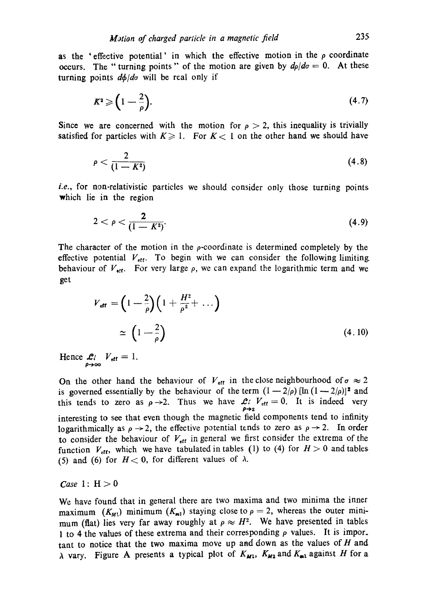as the 'effective potential' in which the effective motion in the  $\rho$  coordinate occurs. The "turning points" of the motion are given by  $d\rho/d\sigma = 0$ . At these turning points  $d\phi/d\sigma$  will be real only if

$$
K^2 \geqslant \left(1 - \frac{2}{\rho}\right). \tag{4.7}
$$

Since we are concerned with the motion for  $\rho > 2$ , this inequality is trivially satisfied for particles with  $K \geq 1$ . For  $K < 1$  on the other hand we should have

$$
\rho < \frac{2}{(1 - K^2)}\tag{4.8}
$$

*i.e.*, for non-relativistic particles we should consider only those turning points which lie in the region

$$
2 < \rho < \frac{2}{(1 - K^2)}.\tag{4.9}
$$

The character of the motion in the  $\rho$ -coordinate is determined completely by the effective potential  $V_{\text{eff}}$ . To begin with we can consider the following limiting behaviour of  $V_{\text{off}}$ . For very large  $\rho$ , we can expand the logarithmic term and we get

$$
V_{\text{eff}} = \left(1 - \frac{2}{\rho}\right) \left(1 + \frac{H^2}{\rho^2} + \dots\right)
$$
  

$$
\simeq \left(1 - \frac{2}{\rho}\right) \tag{4.10}
$$

Hence  $\mathcal{L}i$   $V_{\text{eff}} = 1$ .

On the other hand the behaviour of  $V_{\text{eff}}$  in the close neighbourhood of  $\sigma \approx 2$ is governed essentially by the behaviour of the term  $(1 - 2/\rho)$  [ln  $(1 - 2/\rho)$ ]<sup>2</sup> and this tends to zero as  $\rho \rightarrow 2$ . Thus we have  $\mathcal{L}^{\prime}$   $V_{\text{eff}} = 0$ . It is indeed very  $\rho \rightarrow 2$ interesting to see that even though the magnetic field components tend to infinity logarithmically as  $\rho \rightarrow 2$ , the effective potential tends to zero as  $\rho \rightarrow 2$ . In order to consider the behaviour of  $V_{\text{eff}}$  in general we first consider the extrema of the function  $V_{\text{eff}}$ , which we have tabulated in tables (1) to (4) for  $H > 0$  and tables (5) and (6) for  $H < 0$ , for different values of  $\lambda$ .

*Case* 1:  $H > 0$ 

We have found that in general there are two maxima and two minima the inner maximum  $(K_{M<sub>1</sub>})$  minimum  $(K_{m<sub>1</sub>})$  staying close to  $\rho = 2$ , whereas the outer minimum (flat) lies very far away roughly at  $\rho \approx H^2$ . We have presented in tables 1 to 4 the values of these extrema and their corresponding  $\rho$  values. It is important to notice that the two maxima move up and down as the values of  $H$  and  $\lambda$  vary. Figure A presents a typical plot of  $K_{M1}$ ,  $K_{M2}$  and  $K_{m1}$  against H for a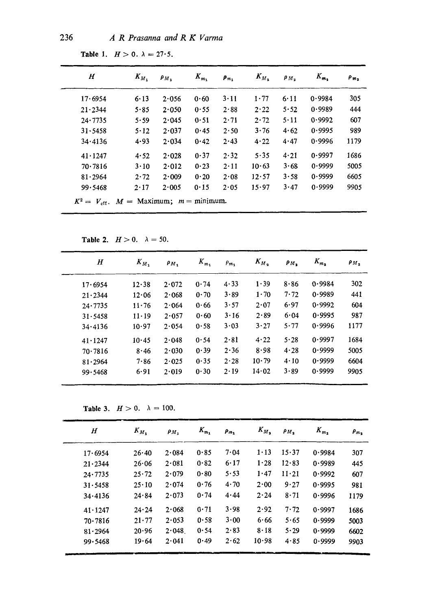| $\bm H$         | $K_{M_1}$    | $P_{M}$ | $K_{m_1}$ | $\rho_{m_1}$ | $K_{M_2}$ | $\rho_{M_2}$ | $K_{m_2}$ | $\rho_{m}$ |
|-----------------|--------------|---------|-----------|--------------|-----------|--------------|-----------|------------|
| 17.6954         | 6.13         | 2.056   | 0.60      | $3 - 11$     | 1.77      | 6.11         | 0.9984    | 305        |
| $21 \cdot 2344$ | 5.85         | 2.050   | 0.55      | 2.88         | 2.22      | 5.52         | 0.9989    | 444        |
| 24.7735         | 5.59         | 2.045   | 0.51      | 2.71         | 2.72      | 5.11         | 0.9992    | 607        |
| 31.5458         | 5.12         | 2.037   | 0.45      | 2.50         | 3.76      | 4.62         | 0.9995    | 989        |
| 34.4136         | 4.93         | 2.034   | 0.42      | 2.43         | 4.22      | 4.47         | 0.9996    | 1179       |
| $41 \cdot 1247$ | 4.52         | 2.028   | 0.37      | 2.32         | $5 - 35$  | 4.21         | 0.9997    | 1686       |
| 70.7816         | $3 \cdot 10$ | 2.012   | 0.23      | $2 \cdot 11$ | 10.63     | 3.68         | 0.9999    | 5005       |
| 81.2964         | 2.72         | 2.009   | 0.20      | 2.08         | 12.57     | 3.58         | 0.9999    | 6605       |
| 99.5468         | $2 \cdot 17$ | 2.005   | 0.15      | 2.05         | 15.97     | 3.47         | 0.9999    | 9905       |

Table 1.  $H>0$ .  $\lambda = 27.5$ .

Table 2.  $H>0$ .  $\lambda=50$ .

| $H_{\rm}$       | $K_{M_1}$     | $\rho_{M_+}$ | $K_{m_1}$ | $\rho_{m_1}$ | $K_{M_2}$    | $P_{M_2}$ | $K_{m_2}$ | $\rho_M$ |
|-----------------|---------------|--------------|-----------|--------------|--------------|-----------|-----------|----------|
| 17.6954         | 12.38         | 2.072        | 0.74      | 4.33         | 1.39         | 8.86      | 0.9984    | 302      |
| $21 \cdot 2344$ | 12.06         | 2.068        | 0.70      | 3.89         | $1 \cdot 70$ | 7.72      | 0.9989    | 441      |
| 24.7735         | 11.76         | 2.064        | 0.66      | 3.57         | 2.07         | 6.97      | 0.9992    | 604      |
| 31.5458         | $11 \cdot 19$ | 2.057        | 0.60      | $3 \cdot 16$ | 2.89         | 6.04      | 0.9995    | 987      |
| 34.4136         | 10.97         | 2.054        | 0.58      | 3.03         | 3.27         | 5.77      | 0.9996    | 1177     |
| $41 \cdot 1247$ | 10.45         | 2.048        | 0.54      | $2 \cdot 81$ | 4.22         | 5.28      | 0.9997    | 1684     |
| 70.7816         | 8.46          | 2.030        | 0.39      | 2.36         | 8.98         | 4.28      | 0.9999    | 5005     |
| 81.2964         | 7.86          | 2.025        | 0.35      | 2.28         | $10 - 79$    | 4.10      | 0.9999    | 6604     |
| 99.5468         | 6.91          | 2.019        | 0.30      | 2.19         | 14.02        | 3.89      | 0.9999    | 9905     |

Table 3.  $H>0$ .  $\lambda = 100$ .

| H               | $K_{M_1}$     | $\mathbf{\rho}_M$ | $K_{m_1}$ | $\rho_{m_1}$ | $K_{M_2}$ | $\mathbf{\rho}_M$ | $K_{m_2}$ | $P_{m}$ |
|-----------------|---------------|-------------------|-----------|--------------|-----------|-------------------|-----------|---------|
| 17.6954         | 26.40         | 2.084             | 0.85      | 7.04         | $1 - 13$  | 15.37             | 0.9984    | 307     |
| 21.2344         | 26.06         | 2.081             | 0.82      | 6.17         | 1.28      | 12.83             | 0.9989    | 445     |
| 24.7735         | $25 \cdot 72$ | 2.079             | 0.80      | 5.53         | 1.47      | $11 - 21$         | 0.9992    | 607     |
| 31.5458         | $25 \cdot 10$ | 2.074             | 0.76      | 4.70         | 2.00      | 9.27              | 0.9995    | 981     |
| 34.4136         | 24.84         | 2.073             | 0.74      | 4.44         | 2.24      | 8.71              | 0.9996    | 1179    |
| $41 \cdot 1247$ | 24.24         | 2.068             | 0.71      | 3.98         | 2.92      | 7.72              | 0.9997    | 1686    |
| 70.7816         | $21 \cdot 77$ | 2.053             | 0.58      | 3.00         | 6.66      | 5.65              | 0.9999    | 5003    |
| 81.2964         | 20.96         | 2.048             | 0.54      | 2.83         | 8.18      | 5.29              | 0.9999    | 6602    |
| 99.5468         | 19.64         | 2.041             | 0.49      | 2.62         | 10.98     | 4.85              | 0.9999    | 9903    |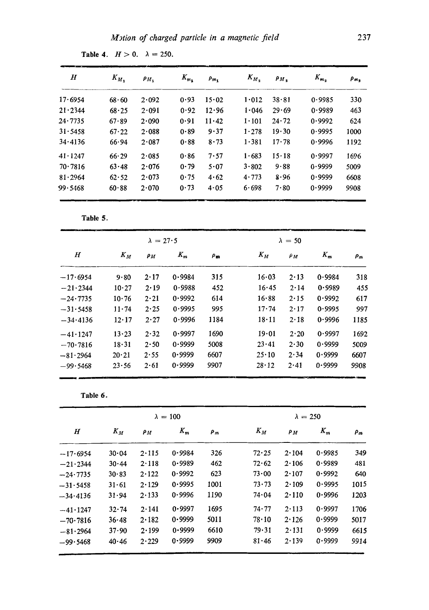| $\bm H$         | $K_{M_1}$ | $\rho_{M_1}$ | $K_{m_1}$ | $\rho_{m_1}$ | $K_{M_2}$ | $\rho_{M}$ | $K_{m_2}$ | $P_{m_2}$ |
|-----------------|-----------|--------------|-----------|--------------|-----------|------------|-----------|-----------|
| 17.6954         | $68 - 60$ | 2.092        | 0.93      | 15.02        | 1.012     | $38 - 81$  | 0.9985    | 330       |
| $21 \cdot 2344$ | 68.25     | 2.091        | 0.92      | 12.96        | 1.046     | 29.69      | 0.9989    | 463       |
| 24.7735         | 67.89     | 2.090        | 0.91      | 11.42        | 1.101     | 24.72      | 0.9992    | 624       |
| 31.5458         | 67.22     | 2.088        | 0.89      | 9.37         | 1.278     | 19.30      | 0.9995    | 1000      |
| 34.4136         | 66.94     | 2.087        | 0.88      | 8.73         | 1.381     | $17 - 78$  | 0.9996    | 1192      |
| $41 \cdot 1247$ | 66.29     | 2.085        | 0.86      | 7.57         | 1.683     | 15.18      | 0.9997    | 1696      |
| 70.7816         | 63.48     | 2.076        | 0.79      | 5.07         | 3.802     | 9.88       | 0.9999    | 5009      |
| 81.2964         | 62.52     | 2.073        | 0.75      | 4.62         | 4.773     | 8.96       | 0.9999    | 6608      |
| 99.5468         | 60.88     | 2.070        | 0.73      | 4.05         | 6.698     | 7.80       | 0.9999    | 9908      |

**Table 4.**  $H>0$ .  $\lambda = 250$ .

**Table** 5.

|            |               | $\lambda = 27.5$ |        |            | $\lambda = 50$ |              |        |          |
|------------|---------------|------------------|--------|------------|----------------|--------------|--------|----------|
| $_{H}$     | $K_M$         | $\rho_M$         | $K_m$  | $\rho_{m}$ | $K_M$          | $\rho_M$     | $K_m$  | $\rho_m$ |
| $-17.6954$ | 9.80          | 2.17             | 0.9984 | 315        | 16.03          | $2 \cdot 13$ | 0.9984 | 318      |
| $-21.2344$ | 10.27         | 2.19             | 0.9988 | 452        | 16.45          | 2.14         | 0.9989 | 455      |
| $-24.7735$ | 10.76         | 2.21             | 0.9992 | 614        | 16.88          | $2 \cdot 15$ | 0.9992 | 617      |
| $-31.5458$ | 11.74         | 2.25             | 0.9995 | 995        | 17.74          | $2 \cdot 17$ | 0.9995 | 997      |
| $-34.4136$ | $12 \cdot 17$ | 2.27             | 0.9996 | 1184       | $18 \cdot 11$  | 2.18         | 0.9996 | 1185     |
| $-41.1247$ | 13.23         | 2.32             | 0.9997 | 1690       | 19.01          | $2 \cdot 20$ | 0.9997 | 1692     |
| $-70.7816$ | 18.31         | 2.50             | 0.9999 | 5008       | 23.41          | 2.30         | 0.9999 | 5009     |
| $-81.2964$ | 20.21         | 2.55             | 0.9999 | 6607       | $25 \cdot 10$  | 2.34         | 0.9999 | 6607     |
| $-99.5468$ | 23.56         | 2.61             | 0.9999 | 9907       | $28 \cdot 12$  | 2.41         | 0.9999 | 9908     |

**Table 6.** 

|                  |           |       | $\lambda = 100$ |       | $\lambda = 250$ |          |        |          |  |
|------------------|-----------|-------|-----------------|-------|-----------------|----------|--------|----------|--|
| $\boldsymbol{H}$ | $K_M$     | Pм    | $K_m$           | $P_m$ | $K_M$           | $\rho_M$ | $K_m$  | $\rho_m$ |  |
| $-17.6954$       | 30.04     | 2.115 | 0.9984          | 326   | 72.25           | 2.104    | 0.9985 | 349      |  |
| $-21.2344$       | $30 - 44$ | 2.118 | 0.9989          | 462   | 72.62           | 2.106    | 0.9989 | 481      |  |
| $-24.7735$       | 30.83     | 2.122 | 0.9992          | 623   | 73.00           | 2.107    | 0.9992 | 640      |  |
| $-31.5458$       | $31 - 61$ | 2.129 | 0.9995          | 1001  | 73.73           | 2.109    | 0.9995 | 1015     |  |
| $-34.4136$       | 31.94     | 2.133 | 0.9996          | 1190  | 74.04           | 2.110    | 0.9996 | 1203     |  |
| $-41.1247$       | 32.74     | 2.141 | 0.9997          | 1695  | 74.77           | 2.113    | 0.9997 | 1706     |  |
| $-70.7816$       | 36.48     | 2.182 | 0.9999          | 5011  | $78 \cdot 10$   | 2.126    | 0.9999 | 5017     |  |
| $-81.2964$       | 37.90     | 2.199 | 0.9999          | 6610  | 79.31           | 2.131    | 0.9999 | 6615     |  |
| $-99.5468$       | $40 - 46$ | 2.229 | 0.9999          | 9909  | 81.46           | 2.139    | 0.9999 | 9914     |  |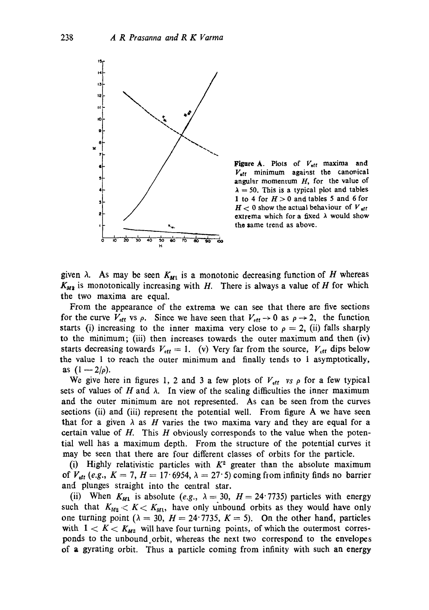

**Figure A.** Plots of  $V_{\text{eff}}$  maxima and  $V_{\text{eff}}$  minimum against the canonical angular momentum  $H$ , for the value of  $\lambda = 50$ . This is a typical plot and tables 1 to 4 for  $H > 0$  and tables 5 and 6 for  $H<sub>0</sub>$  show the actual behaviour of  $V_{\text{eff}}$ extrema which for a fixed  $\lambda$  would show the zame trend as above.

given  $\lambda$ . As may be seen  $K_{M_1}$  is a monotonic decreasing function of H whereas  $K_{M2}$  is monotonically increasing with H. There is always a value of H for which the two maxima are equal.

From the appearance of the extrema we can see that there are five sections for the curve  $V_{\text{eff}}$  vs  $\rho$ . Since we have seen that  $V_{\text{eff}} \rightarrow 0$  as  $\rho \rightarrow 2$ , the function starts (i) increasing to the inner maxima very close to  $\rho = 2$ , (ii) falls sharply to the minimum; (iii) then increases towards the outer maximum and then (iv) starts decreasing towards  $V_{\text{eff}} = 1$ . (v) Very far from the source,  $V_{\text{eff}}$  dips below the value 1 to reach the outer minimum and finally tends to 1 asymptotically, **as**  $(1 - 2/\rho)$ .

We give here in figures 1, 2 and 3 a few plots of  $V_{\text{eff}}$  vs  $\rho$  for a few typical sets of values of H and  $\lambda$ . In view of the scaling difficulties the inner maximum and the outer minimum are not represented. As can be seen from the curves sections (ii) and (iii) represent the potential well. From figure A we have seen that for a given  $\lambda$  as H varies the two maxima vary and they are equal for a certain value of  $H$ . This  $H$  obviously corresponds to the value when the potential well has a maximum depth. From the structure of the potential curves it may be seen that there are four different classes of orbits for the particle.

(i) Highly relativistic particles with  $K^2$  greater than the absolute maximum of  $V_{\text{eff}}$  (e.g.,  $K = 7$ ,  $H = 17.6954$ ,  $\lambda = 27.5$ ) coming from infinity finds no barrier and plunges straight into the central star.

(ii) When  $K_{M1}$  is absolute (e.g.,  $\lambda = 30$ ,  $H = 24.7735$ ) particles with energy such that  $K_{M2} < K < K_{M1}$ , have only unbound orbits as they would have only one turning point ( $\lambda = 30$ ,  $H = 24.7735$ ,  $K = 5$ ). On the other hand, particles with  $1 < K < K_{M2}$  will have four turning points, of which the outermost corresponds to the unbound orbit, whereas the next two correspond to the envelopes of a gyrating orbit. Thus a particle coming from infinity with such an energy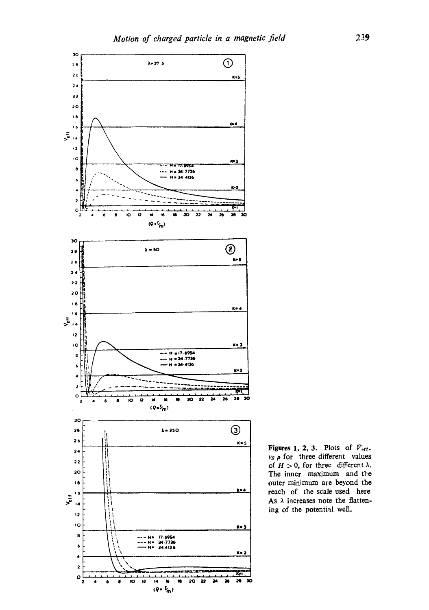

Figures 1, 2, 3. Plots of *Vetr. vs p* for three different values of  $H > 0$ , for three different  $\lambda$ . The inner maximum and the outer minimum are beyond the reach of the scale used here As  $\lambda$  increases note the flattening of the potential well.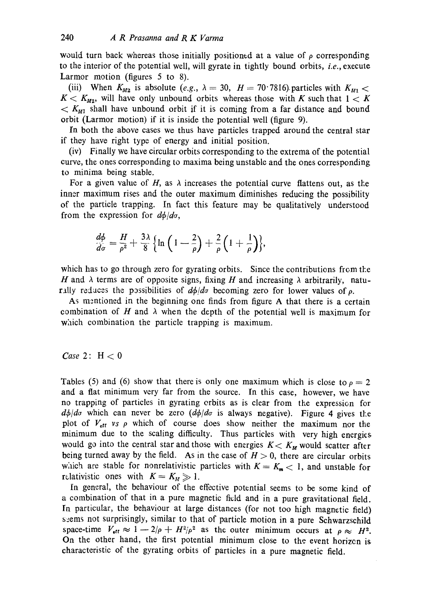would turn back whereas those initially positioned at a value of  $\rho$  corresponding to the interior of the potential well, will gyrate in tightly bound orbits, *i.e.,* execute Larmor motion (figures 5 to 8).

(iii) When  $K_{M2}$  is absolute (e.g.,  $\lambda = 30$ ,  $H = 70^{\circ}7816$ ) particles with  $K_{M1}$  <  $K < K_{M2}$ , will have only unbound orbits whereas those with K such that  $1 < K$  $K_{M1}$  shall have unbound orbit if it is coming from a far distance and bound orbit (Larmor motion) if it is inside the potential well (figure 9).

In both the above cases we thus have particles trapped around the central star if they have right type of energy and initial position.

(iv) Finally we have circular orbits corresponding to the extrema of the potential curve, the ones corresponding to maxima being unstable and the ones corresponding to minima being stable.

For a given value of  $H$ , as  $\lambda$  increases the potential curve flattens out, as the inner maximum rises and the outer maximum diminishes reducing the possibility of the particle trapping. In fact this feature may be qualitatively understood from the expression for  $d\phi/d\sigma$ ,

$$
\frac{d\phi}{d\sigma}=\frac{H}{\rho^2}+\frac{3\lambda}{8}\Big\{\ln\Big(1-\frac{2}{\rho}\Big)+\frac{2}{\rho}\Big(1+\frac{1}{\rho}\Big)\Big\},\,
$$

which has to go through zero for gyrating orbits. Since the contributions from the H and  $\lambda$  terms are of opposite signs, fixing H and increasing  $\lambda$  arbitrarily, naturally reduces the possibilities of  $d\phi/d\sigma$  becoming zero for lower values of  $\rho$ .

As mentioned in the beginning one finds from figure A that there is a certain combination of H and  $\lambda$  when the depth of the potential well is maximum for which combination the particle trapping is maximum.

### *Case* 2:  $H < 0$

Tables (5) and (6) show that there is only one maximum which is close to  $\rho = 2$ and a flat minimum very far from the source. In this case, however, we have no trapping of particles in gyrating orbits as is clear from the expression for  $d\phi/d\sigma$  which can never be zero  $(d\phi/d\sigma)$  is always negative). Figure 4 gives the plot of  $V_{\text{eff}}$  vs  $\rho$  which of course does show neither the maximum nor the minimum due to the scaling difficulty. Thus particles with very high energies would go into the central star and those with energies  $K < K_M$  would scatter after being turned away by the field. As in the case of  $H > 0$ , there are circular orbits which are stable for nonrelativistic particles with  $K=K_m<1$ , and unstable for relativistic ones with  $K = K_M \gg 1$ .

in general, the behaviour of the effective potential seems to be some kind of a combination of that in a pure magnetic field and in a pure gravitational field. In particular, the behaviour at large distances (for not too high magnetic field) s:ems not surprisingly, similar to that of particle motion in a pure Schwarzschild space-time  $V_{\text{eff}} \approx 1 - 2/\rho + H^2/\rho^2$  as the outer minimum occurs at  $\rho \approx H^2$ . On the other hand, the first potential minimum close to the event horizcn is characteristic of the gyrating orbits of particles in a pure magnetic field.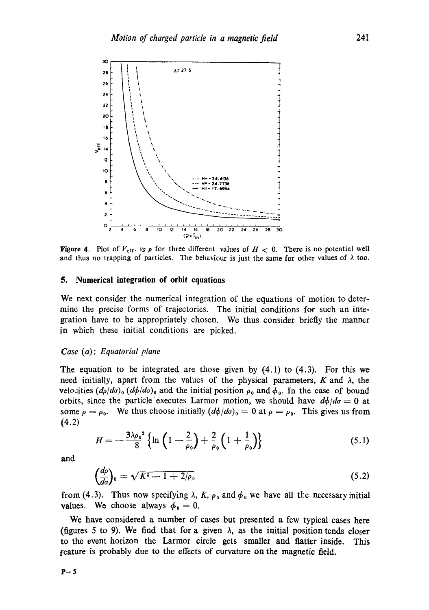

Figure 4. Plot of  $V_{\text{eff}}$ ,  $v_s \rho$  for three different values of  $H < 0$ . There is no potential well and thus no trapping of particles. The behaviour is just the same for other values of  $\lambda$  too.

#### **5. Numerical integration of orbit equations**

We next consider the numerical integration of the equations of motion to determine the precise forms of trajectories. The initial conditions for such an integration have to be appropriately chosen. We thus consider briefly the manner in which these initial conditions are picked.

#### *Case (a) : Equatorial plane*

The equation to be integrated are those given by (4.1) to (4.3). For this we need initially, apart from the values of the physical parameters,  $K$  and  $\lambda$ , the velo.:ities  $(d\rho/d\sigma)$ <sub>0</sub>  $(d\phi/d\sigma)$ <sub>0</sub> and the initial position  $\rho_0$  and  $\phi_0$ . In the case of bound orbits, since the particle executes Larmor motion, we should have  $d\phi/d\sigma = 0$  at some  $\rho = \rho_0$ . We thus choose initially  $(d\phi/d\sigma)_0 = 0$  at  $\rho = \rho_0$ . This gives us from (4.2)

$$
H = -\frac{3\lambda \rho_0^2}{8} \left\{ \ln \left( 1 - \frac{2}{\rho_0} \right) + \frac{2}{\rho_0} \left( 1 + \frac{1}{\rho_0} \right) \right\}
$$
 (5.1)

and

$$
\left(\frac{d\rho}{d\sigma}\right)_0 = \sqrt{K^2 - 1 + 2/\rho_0} \tag{5.2}
$$

from (4.3). Thus now specifying  $\lambda$ , K,  $\rho_0$  and  $\phi_0$  we have all the necessary initial values. We choose always  $\phi_0 = 0$ .

We have considered a number of cases but presented a few typical cases here (figures 5 to 9). We find that for a given  $\lambda$ , as the initial position tends closer to the event horizon the Larmor circle gets smaller and flatter inside. This feature is probably due to the effects of curvature on the magnetic field.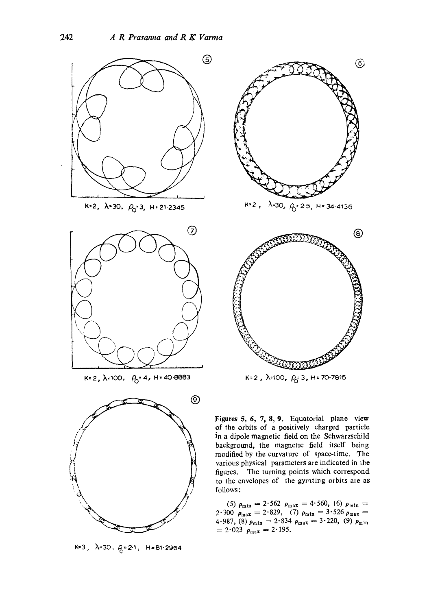





 $K=3$ ,  $\lambda=30$ .  $\beta=2.1$ ,  $H=81.2964$ 



 $K=2$ ,  $\lambda=100$ ,  $\rho_0=3$ ,  $H=70.7816$ 

Figures 5, 6, 7, 8, 9. Equatorial plane view of the orbits of a positively charged particle in a dipole magnetic field on the Schwarzschild background, the magnetic field itself being modified by the curvature of space-time. The various physical parameters are indicated in the figures. The turning points which correspond to the envelopes of the gyrating orbits are as follows :

(5)  $\rho_{\min} = 2.562$   $\rho_{\max} = 4.560$ , (6)  $\rho_{\min} =$  $2.300 \rho_{\text{max}} = 2.829, (7) \rho_{\text{min}} = 3.526 \rho_{\text{max}} =$  $4.987, (8)$   $\rho_{\min} = 2.834$   $\rho_{\max} = 3.220, (9)$   $\rho_{\min}$  $= 2.023 \rho_{\text{max}} = 2.195.$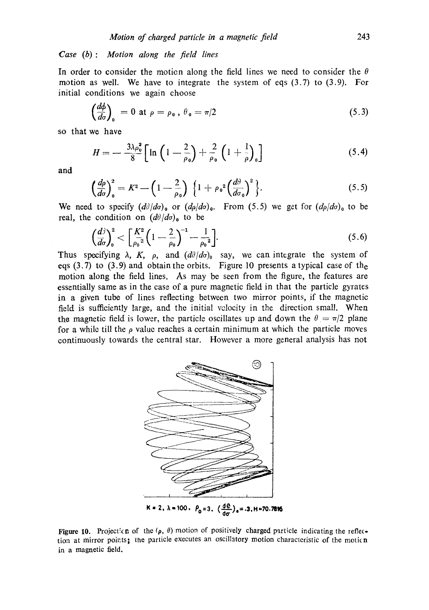## *Case* (b): Motion along the field lines

In order to consider the motion along the field lines we need to consider the  $\theta$ motion as well. We have to integrate the system of eqs  $(3.7)$  to  $(3.9)$ . For initial conditions we again choose

$$
\left(\frac{d\phi}{d\sigma}\right)_0 = 0 \text{ at } \rho = \rho_0 \,, \ \theta_0 = \pi/2 \tag{5.3}
$$

so that we have

$$
H = -\frac{3\lambda \rho_o^2}{8} \Big[ \ln \Big( 1 - \frac{2}{\rho_o} \Big) + \frac{2}{\rho_o} \Big( 1 + \frac{1}{\rho} \Big)_o \Big] \tag{5.4}
$$

and

$$
\left(\frac{d\rho}{d\sigma}\right)_0^2 = K^2 - \left(1 - \frac{2}{\rho_0}\right) \left\{1 + \rho_0^2 \left(\frac{d\theta}{d\sigma_0}\right)^2\right\}.
$$
\n(5.5)

We need to specify  $(d\partial/d\sigma)_{\rm o}$  or  $(d\rho/d\sigma)_{\rm o}$ . From (5.5) we get for  $(d\rho/d\sigma)_{\rm o}$  to be real, the condition on  $(d\theta/d\sigma)$ <sub>0</sub> to be

$$
\left(\frac{d^{\frac{3}{2}}}{d\sigma}\right)_0^2 < \left[\frac{K^2}{\rho_0^2}\left(1 - \frac{2}{\rho_0}\right)^{-1} - \frac{1}{\rho_0^2}\right].\tag{5.6}
$$

Thus specifying  $\lambda$ , K,  $\rho$ , and  $(d\theta/d\sigma)$  say, we can integrate the system of eqs (3.7) to (3.9) and obtain the orbits. Figure 10 presents a typical case of the motion along the field lines. As may be seen from the figure, the features are essentially same as in the case of a pure magnetic field in that the particle gyrates in a given tube of lines reflecting between two mirror points, if the magnetic field is sufficiently large, and the initial volocity in the direction small When the magnetic field is lower, the particle oscillates up and down the  $\theta = \pi/2$  plane for a while till the  $\rho$  value reaches a certain minimum at which the particle moves continuously towards the central star. However a more general analysis has not



Figure 10. Projection of the  $(\rho, \theta)$  motion of positively charged particle indicating the reflection at mirror points; the particle executes an oscillatory motion characteristic of the motion in a magnetic field.